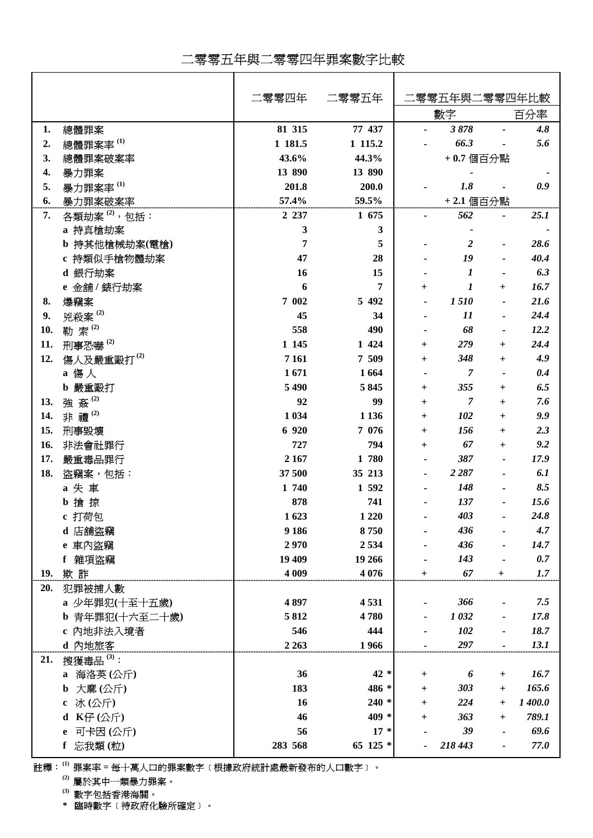## 二零零五年與二零零四年罪案數字比較

|            |                          | 二零零四年   | 二零零五年    | 零零五年與二零零四年比較   |                |                |         |
|------------|--------------------------|---------|----------|----------------|----------------|----------------|---------|
|            |                          |         |          |                | 數字             |                | 百分率     |
| 1.         | 總體罪案                     | 81 315  | 77 437   |                | 3878           |                | 4.8     |
| 2.         | 總體罪案率 $^{(1)}$           | 1 181.5 | 1 115.2  |                | 66.3           |                | 5.6     |
| 3.         | 總體罪案破案率                  | 43.6%   | 44.3%    |                | +0.7 個百分點      |                |         |
| 4.         | 暴力罪案                     | 13 890  | 13 890   |                |                |                |         |
| 5.         | 暴力罪案率(1)                 | 201.8   | 200.0    |                | 1.8            |                | 0.9     |
| 6.         | 暴力罪案破案率                  | 57.4%   | 59.5%    |                | +2.1 個百分點      |                |         |
| 7.         | 各類劫案 <sup>(2)</sup> ,包括: | 2 2 3 7 | 1 675    |                | 562            |                | 25.1    |
|            | a 持真槍劫案                  | 3       | 3        |                |                |                |         |
|            | b 持其他槍械劫案(電槍)            | 7       | 5        |                | 2              |                | 28.6    |
|            | c 持類似手槍物體劫案              | 47      | 28       |                | 19             |                | 40.4    |
|            | d 銀行劫案                   | 16      | 15       |                | 1              |                | 6.3     |
|            | e 金舖 / 錶行劫案              | 6       | 7        | $\ddot{}$      | 1              | $\pm$          | 16.7    |
| 8.         | 爆竊案                      | 7 002   | 5 4 9 2  |                | 1510           |                | 21.6    |
| 9.         | 兇殺案 $(2)$                | 45      | 34       |                | 11             |                | 24.4    |
| 10.        | 勒索(2)                    | 558     | 490      |                | 68             |                | 12.2    |
| 11.        | 刑事恐嚇 <sup>(2)</sup>      | 1 1 45  | 1 424    | $\overline{+}$ | 279            | $+$            | 24.4    |
| 12.        | 傷人及嚴重毆打 <sup>(2)</sup>   | 7 1 6 1 | 7 509    | $\overline{+}$ | 348            | $\pm$          | 4.9     |
|            | a 傷人                     | 1671    | 1664     |                | $\overline{7}$ |                | 0.4     |
|            | b 嚴重毆打                   | 5 4 9 0 | 5845     | $^{+}$         | 355            | $^{+}$         | 6.5     |
| 13.        | 強姦(2)                    | 92      | 99       | $^{+}$         | 7              | $^{+}$         | 7.6     |
| 14.        | 非禮(2)                    | 1 0 3 4 | 1 1 3 6  | $+$            | 102            | $\ddot{}$      | 9.9     |
| 15.        |                          | 6 9 20  | 7 0 7 6  |                | 156            |                | 2.3     |
|            | 刑事毀壞                     |         |          | $\overline{+}$ | 67             | $\pm$          | 9.2     |
| 16.        | 非法會社罪行                   | 727     | 794      | $\overline{+}$ |                | $\ddot{}$      |         |
| 17.        | 嚴重毒品罪行                   | 2 1 6 7 | 1 780    |                | 387            |                | 17.9    |
| 18.        | 盜竊案,包括:                  | 37 500  | 35 213   |                | 2 2 8 7        |                | 6.1     |
|            | a 失 車                    | 1 740   | 1 592    |                | 148            |                | 8.5     |
|            | b 搶 掠                    | 878     | 741      |                | 137            |                | 15.6    |
|            | c 打荷包                    | 1623    | 1 2 2 0  |                | 403            |                | 24.8    |
|            | d 店舖盜竊                   | 9 1 8 6 | 8750     |                | 436            |                | 4.7     |
|            | e 車內盜竊                   | 2970    | 2534     |                | 436            |                | 14.7    |
|            | f 雜項盜竊                   | 19 409  | 19 26 6  |                | 143            |                | 0.7     |
| <u>19.</u> | 欺詐                       | 4 0 0 9 | 4 0 7 6  | $+$            | 67             | $\ddot{}$      | 1.7     |
| 20.        | 犯罪被捕人數                   |         |          |                |                |                |         |
|            | a 少年罪犯(十至十五歲)            | 4897    | 4531     |                | 366            |                | 7.5     |
|            | b 青年罪犯(十六至二十歲)           | 5812    | 4780     |                | 1032           |                | 17.8    |
|            | c 內地非法入境者                | 546     | 444      |                | 102            |                | 18.7    |
|            | d 內地旅客                   | 2 2 6 3 | 1966     |                | 297            |                | 13.1    |
| 21.        | 搜獲毒品 $(3)$ :             |         |          |                |                |                |         |
|            | a 海洛英(公斤)                | 36      | $42 *$   | $\ddot{}$      | 6              | $+$            | 16.7    |
|            | 大麻(公斤)<br>b              | 183     | 486 *    | $^{+}$         | 303            | $^{+}$         | 165.6   |
|            | 冰(公斤)<br>c               | 16      | $240*$   | $+$            | 224            | $\ddot{}$      | 1 400.0 |
|            | d K仔(公斤)                 | 46      | $409 *$  | $\overline{+}$ | 363            | $\overline{+}$ | 789.1   |
|            | 可卡因(公斤)<br>e             | 56      | $17 *$   |                | 39             |                | 69.6    |
|            | f 忘我類(粒)                 | 283 568 | 65 125 * |                | 218 443        |                | 77.0    |
|            |                          |         |          |                |                |                |         |

註釋:**(1)** 罪案率 **=** 每十萬人口的罪案數字﹝根據政府統計處最新發布的人口數字﹞。

**(2)** 屬於其中一類暴力罪案。

**(3)** 數字包括香港海關。

**\*** 臨時數字﹝待政府化驗所確定﹞。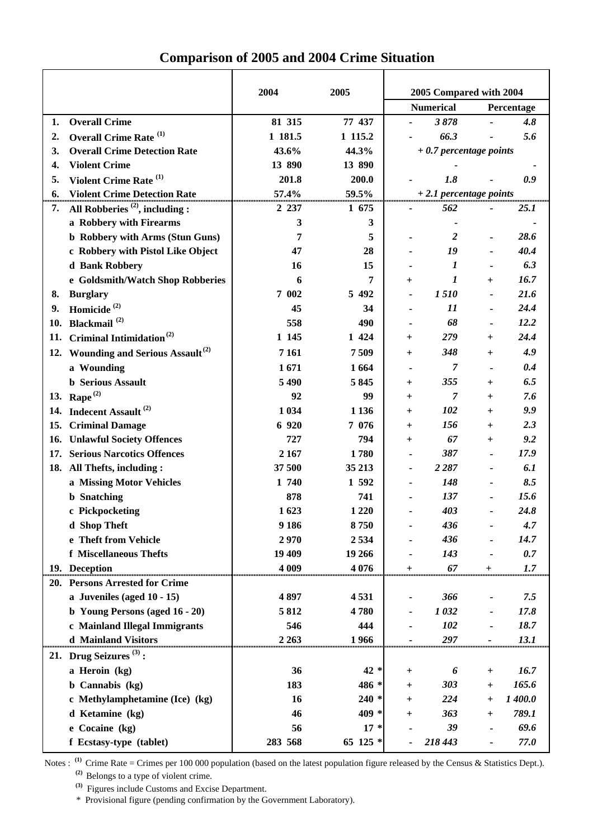|     |                                                 | 2004     | 2005    | 2005 Compared with 2004          |                         |                |             |
|-----|-------------------------------------------------|----------|---------|----------------------------------|-------------------------|----------------|-------------|
|     |                                                 |          |         | <b>Numerical</b>                 |                         | Percentage     |             |
| 1.  | <b>Overall Crime</b>                            | 81 315   | 77 437  |                                  | 3878                    |                | 4.8         |
| 2.  | Overall Crime Rate <sup>(1)</sup>               | 1 181.5  | 1 115.2 |                                  | 66.3                    |                | 5.6         |
| 3.  | <b>Overall Crime Detection Rate</b>             | 43.6%    | 44.3%   | $+0.7$ percentage points         |                         |                |             |
| 4.  | <b>Violent Crime</b>                            | 13 890   | 13 890  |                                  |                         |                |             |
| 5.  | Violent Crime Rate <sup>(1)</sup>               | 201.8    | 200.0   |                                  | 1.8                     |                | 0.9         |
| 6.  | <b>Violent Crime Detection Rate</b>             | $57.4\%$ | 59.5%   | + 2.1 percentage points          |                         |                |             |
| 7.  | All Robberies $^{(2)}$ , including :            | 2 2 3 7  | 1 675   |                                  | 562                     |                | <b>25.1</b> |
|     | a Robbery with Firearms                         | 3        | 3       |                                  |                         |                |             |
|     | <b>b</b> Robbery with Arms (Stun Guns)          | 7        | 5       |                                  | $\overline{\mathbf{2}}$ |                | 28.6        |
|     | c Robbery with Pistol Like Object               | 47       | 28      |                                  | 19                      |                | 40.4        |
|     | d Bank Robbery                                  | 16       | 15      |                                  | 1                       |                | 6.3         |
|     | e Goldsmith/Watch Shop Robberies                | 6        | 7       | $^+$                             | 1                       | $\pm$          | 16.7        |
| 8.  | <b>Burglary</b>                                 | 7 002    | 5 4 9 2 |                                  | 1510                    |                | 21.6        |
| 9.  | Homicide <sup>(2)</sup>                         | 45       | 34      |                                  | 11                      |                | 24.4        |
| 10. | Blackmail <sup>(2)</sup>                        | 558      | 490     |                                  | 68                      |                | 12.2        |
| 11. | Criminal Intimidation <sup>(2)</sup>            | 1 1 45   | 1 4 2 4 | $\pm$                            | 279                     | $\pm$          | 24.4        |
|     | 12. Wounding and Serious Assault <sup>(2)</sup> | 7 1 6 1  | 7509    | $^+$                             | 348                     | $\pm$          | 4.9         |
|     | a Wounding                                      | 1671     | 1664    |                                  | 7                       |                | 0.4         |
|     | <b>b</b> Serious Assault                        | 5 4 9 0  | 5845    | $^+$                             | 355                     | $\pm$          | 6.5         |
|     | 13. Rape $^{(2)}$                               | 92       | 99      | $\pmb{+}$                        | 7                       | $+$            | 7.6         |
| 14. | Indecent Assault <sup>(2)</sup>                 | 1 0 34   | 1 1 3 6 | $\pm$                            | 102                     | $+$            | 9.9         |
| 15. | <b>Criminal Damage</b>                          | 6 9 20   | 7 0 7 6 | $\pm$                            | 156                     | $\pm$          | 2.3         |
| 16. | <b>Unlawful Society Offences</b>                | 727      | 794     | $\pm$                            | 67                      | $\overline{+}$ | 9.2         |
| 17. | <b>Serious Narcotics Offences</b>               | 2 1 6 7  | 1780    |                                  | 387                     |                | 17.9        |
|     | 18. All Thefts, including :                     | 37500    | 35 213  |                                  | 2 2 8 7                 |                | 6.1         |
|     | a Missing Motor Vehicles                        | 1 740    | 1 592   |                                  | 148                     |                | 8.5         |
|     | <b>b</b> Snatching                              | 878      | 741     |                                  | 137                     |                | 15.6        |
|     | c Pickpocketing                                 | 1623     | 1 2 2 0 |                                  | 403                     |                | 24.8        |
|     | d Shop Theft                                    | 9 1 8 6  | 8750    |                                  | 436                     |                | 4.7         |
|     | e Theft from Vehicle                            | 2970     | 2534    |                                  | 436                     |                | 14.7        |
|     | f Miscellaneous Thefts                          | 19 409   | 19 26 6 |                                  | 143                     |                | 0.7         |
|     | 19. Deception                                   | 4 0 0 9  | 4 0 7 6 | $\ddot{}$                        | 67                      | $\pmb{+}$      | 1.7         |
|     | 20. Persons Arrested for Crime                  |          |         |                                  |                         |                |             |
|     | a Juveniles (aged $10 - 15$ )                   | 4 897    | 4531    |                                  | 366                     |                | 7.5         |
|     | b Young Persons (aged 16 - 20)                  | 5812     | 4780    |                                  | 1032                    |                | 17.8        |
|     | c Mainland Illegal Immigrants                   | 546      | 444     |                                  | 102                     |                | 18.7        |
|     | d Mainland Visitors                             | 2 2 6 3  | 1966    |                                  | 297                     |                | 13.1        |
|     | 21. Drug Seizures $(3)$ :                       |          |         |                                  |                         |                |             |
|     |                                                 |          |         |                                  |                         |                |             |
|     | a Heroin (kg)                                   | 36       | $42 *$  | $\mathrm{+}$                     | 6                       | $+$            | 16.7        |
|     | <b>b</b> Cannabis (kg)                          | 183      | 486 *   | $^+$                             | 303                     | $^{+}$         | 165.6       |
|     | c Methylamphetamine (Ice) (kg)                  | 16       | $240*$  | $\ddot{}$                        | 224                     | $\ddot{}$      | 1 400.0     |
|     | d Ketamine (kg)                                 | 46       | 409 *   | $\begin{array}{c} + \end{array}$ | 363                     | $^{+}$         | 789.1       |

## **Comparison of 2005 and 2004 Crime Situation**

Notes : <sup>(1)</sup> Crime Rate = Crimes per 100 000 population (based on the latest population figure released by the Census & Statistics Dept.).

**e Cocaine (kg) 56 17 \* -** *39* **-** *69.6* **f Ecstasy-type (tablet) 283 568 65 125 \* -** *218 443* **-** *77.0*

**(2)** Belongs to a type of violent crime.

**(3)** Figures include Customs and Excise Department.

\* Provisional figure (pending confirmation by the Government Laboratory).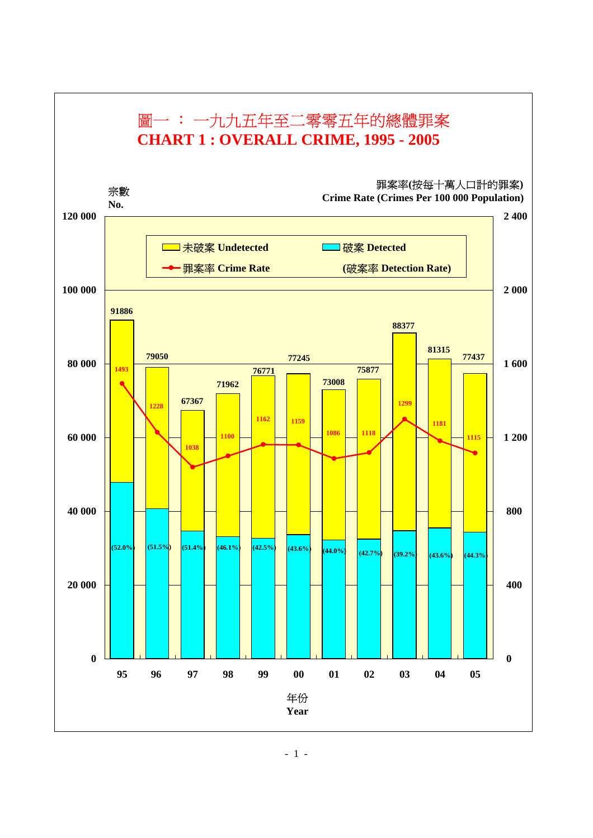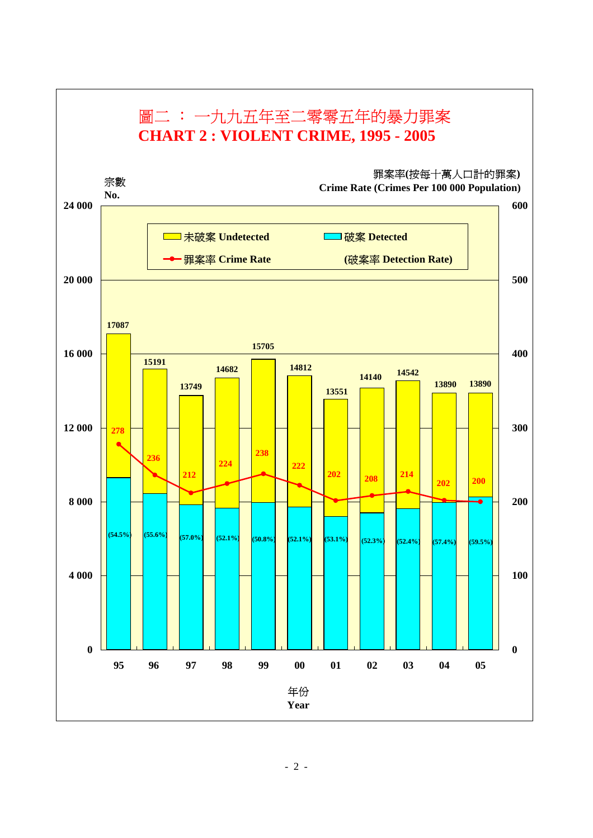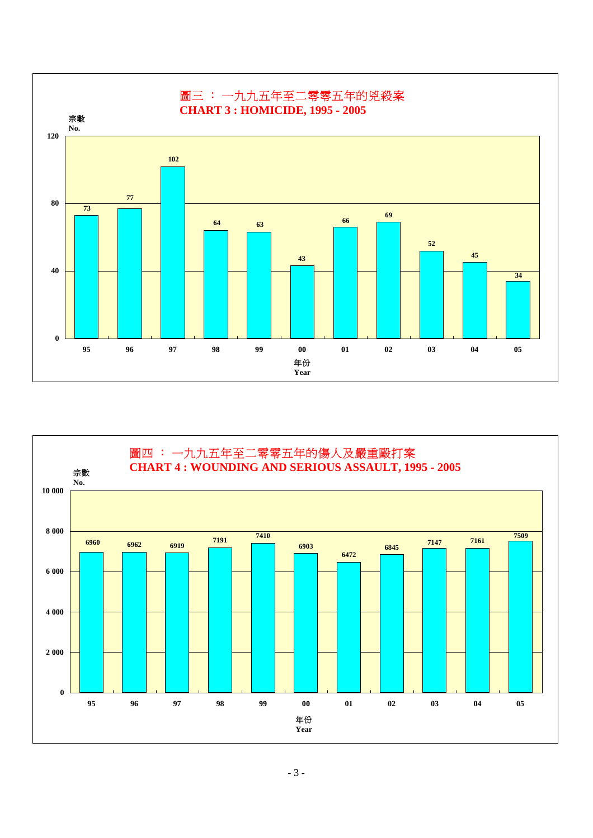

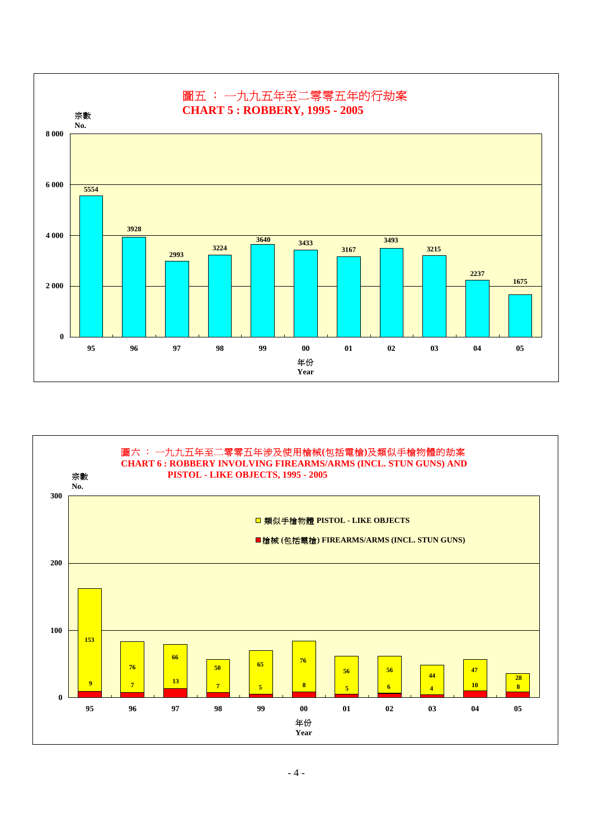